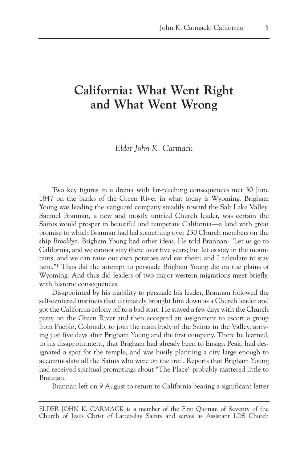## **California: What Went Right and What Went Wrong**

## *Elder John K. Carmack*

Two key figures in a drama with far-reaching consequences met 30 June 1847 on the banks of the Green River in what today is Wyoming. Brigham Young was leading the vanguard company steadily toward the Salt Lake Valley. Samuel Brannan, a new and mostly untried Church leader, was certain the Saints would prosper in beautiful and temperate California—a land with great promise to which Brannan had led something over 230 Church members on the ship *Brooklyn*. Brigham Young had other ideas. He told Brannan: "Let us go to California, and we cannot stay there over five years; but let us stay in the mountains, and we can raise our own potatoes and eat them; and I calculate to stay here."1 Thus did the attempt to persuade Brigham Young die on the plains of Wyoming. And thus did leaders of two major western migrations meet briefly, with historic consequences.

Disappointed by his inability to persuade his leader, Brannan followed the self-centered instincts that ultimately brought him down as a Church leader and got the California colony off to a bad start. He stayed a few days with the Church party on the Green River and then accepted an assignment to escort a group from Pueblo, Colorado, to join the main body of the Saints in the Valley, arriving just five days after Brigham Young and the first company. There he learned, to his disappointment, that Brigham had already been to Ensign Peak, had designated a spot for the temple, and was busily planning a city large enough to accommodate all the Saints who were on the trail. Reports that Brigham Young had received spiritual promptings about "The Place" probably mattered little to Brannan.

Brannan left on 9 August to return to California bearing a significant letter

ELDER JOHN K. CARMACK is a member of the First Quorum of Seventy of the Church of Jesus Christ of Latter-day Saints and serves as Assistant LDS Church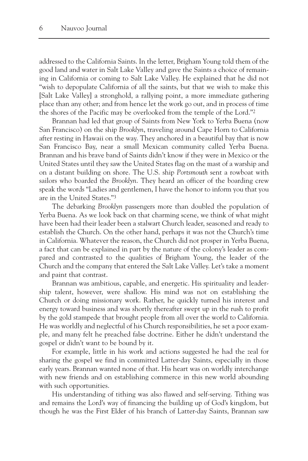addressed to the California Saints. In the letter, Brigham Young told them of the good land and water in Salt Lake Valley and gave the Saints a choice of remaining in California or coming to Salt Lake Valley. He explained that he did not "wish to depopulate California of all the saints, but that we wish to make this [Salt Lake Valley] a stronghold, a rallying point, a more immediate gathering place than any other; and from hence let the work go out, and in process of time the shores of the Pacific may be overlooked from the temple of the Lord."2

Brannan had led that group of Saints from New York to Yerba Buena (now San Francisco) on the ship *Brooklyn*, traveling around Cape Horn to California after resting in Hawaii on the way. They anchored in a beautiful bay that is now San Francisco Bay, near a small Mexican community called Yerba Buena. Brannan and his brave band of Saints didn't know if they were in Mexico or the United States until they saw the United States flag on the mast of a warship and on a distant building on shore. The U.S. ship *Portsmouth* sent a rowboat with sailors who boarded the *Brooklyn*. They heard an officer of the boarding crew speak the words "Ladies and gentlemen, I have the honor to inform you that you are in the United States."3

The debarking *Brooklyn* passengers more than doubled the population of Yerba Buena. As we look back on that charming scene, we think of what might have been had their leader been a stalwart Church leader, seasoned and ready to establish the Church. On the other hand, perhaps it was not the Church's time in California. Whatever the reason, the Church did not prosper in Yerba Buena, a fact that can be explained in part by the nature of the colony's leader as compared and contrasted to the qualities of Brigham Young, the leader of the Church and the company that entered the Salt Lake Valley. Let's take a moment and paint that contrast.

Brannan was ambitious, capable, and energetic. His spirituality and leadership talent, however, were shallow. His mind was not on establishing the Church or doing missionary work. Rather, he quickly turned his interest and energy toward business and was shortly thereafter swept up in the rush to profit by the gold stampede that brought people from all over the world to California. He was worldly and neglectful of his Church responsibilities, he set a poor example, and many felt he preached false doctrine. Either he didn't understand the gospel or didn't want to be bound by it.

For example, little in his work and actions suggested he had the zeal for sharing the gospel we find in committed Latter-day Saints, especially in those early years. Brannan wanted none of that. His heart was on worldly interchange with new friends and on establishing commerce in this new world abounding with such opportunities.

His understanding of tithing was also flawed and self-serving. Tithing was and remains the Lord's way of financing the building up of God's kingdom, but though he was the First Elder of his branch of Latter-day Saints, Brannan saw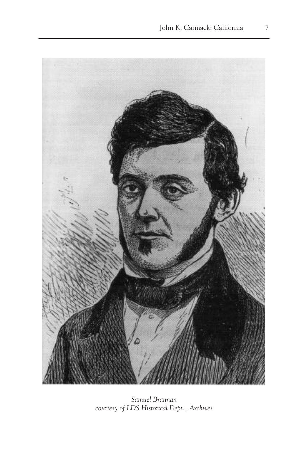

*Samuel Brannan courtesy of LDS Historical Dept., Archives*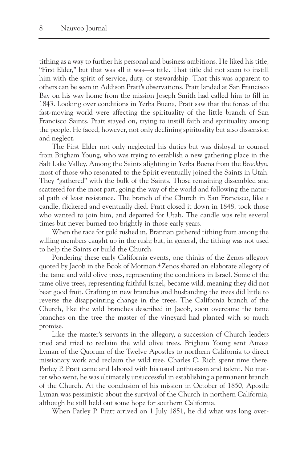tithing as a way to further his personal and business ambitions. He liked his title, "First Elder," but that was all it was—a title. That title did not seem to instill him with the spirit of service, duty, or stewardship. That this was apparent to others can be seen in Addison Pratt's observations. Pratt landed at San Francisco Bay on his way home from the mission Joseph Smith had called him to fill in 1843. Looking over conditions in Yerba Buena, Pratt saw that the forces of the fast-moving world were affecting the spirituality of the little branch of San Francisco Saints. Pratt stayed on, trying to instill faith and spirituality among the people. He faced, however, not only declining spirituality but also dissension and neglect.

The First Elder not only neglected his duties but was disloyal to counsel from Brigham Young, who was trying to establish a new gathering place in the Salt Lake Valley. Among the Saints alighting in Yerba Buena from the *Brooklyn*, most of those who resonated to the Spirit eventually joined the Saints in Utah. They "gathered" with the bulk of the Saints. Those remaining dissembled and scattered for the most part, going the way of the world and following the natural path of least resistance. The branch of the Church in San Francisco, like a candle, flickered and eventually died. Pratt closed it down in 1848, took those who wanted to join him, and departed for Utah. The candle was relit several times but never burned too brightly in those early years.

When the race for gold rushed in, Brannan gathered tithing from among the willing members caught up in the rush; but, in general, the tithing was not used to help the Saints or build the Church.

Pondering these early California events, one thinks of the Zenos allegory quoted by Jacob in the Book of Mormon.4 Zenos shared an elaborate allegory of the tame and wild olive trees, representing the conditions in Israel. Some of the tame olive trees, representing faithful Israel, became wild, meaning they did not bear good fruit. Grafting in new branches and husbanding the trees did little to reverse the disappointing change in the trees. The California branch of the Church, like the wild branches described in Jacob, soon overcame the tame branches on the tree the master of the vineyard had planted with so much promise.

Like the master's servants in the allegory, a succession of Church leaders tried and tried to reclaim the wild olive trees. Brigham Young sent Amasa Lyman of the Quorum of the Twelve Apostles to northern California to direct missionary work and reclaim the wild tree. Charles C. Rich spent time there. Parley P. Pratt came and labored with his usual enthusiasm and talent. No matter who went, he was ultimately unsuccessful in establishing a permanent branch of the Church. At the conclusion of his mission in October of 1850, Apostle Lyman was pessimistic about the survival of the Church in northern California, although he still held out some hope for southern California.

When Parley P. Pratt arrived on 1 July 1851, he did what was long over-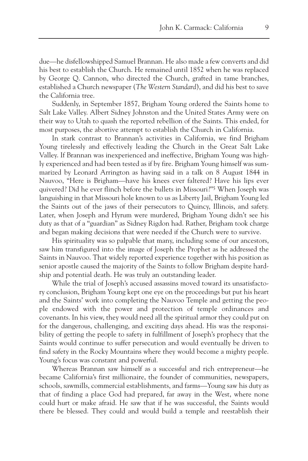due—he disfellowshipped Samuel Brannan. He also made a few converts and did his best to establish the Church. He remained until 1852 when he was replaced by George Q. Cannon, who directed the Church, grafted in tame branches, established a Church newspaper (*The Western Standard*), and did his best to save the California tree.

Suddenly, in September 1857, Brigham Young ordered the Saints home to Salt Lake Valley. Albert Sidney Johnston and the United States Army were on their way to Utah to quash the reported rebellion of the Saints. This ended, for most purposes, the abortive attempt to establish the Church in California.

In stark contrast to Brannan's activities in California, we find Brigham Young tirelessly and effectively leading the Church in the Great Salt Lake Valley. If Brannan was inexperienced and ineffective, Brigham Young was highly experienced and had been tested as if by fire. Brigham Young himself was summarized by Leonard Arrington as having said in a talk on 8 August 1844 in Nauvoo, "Here is Brigham—have his knees ever faltered? Have his lips ever quivered? Did he ever flinch before the bullets in Missouri?"5 When Joseph was languishing in that Missouri hole known to us as Liberty Jail, Brigham Young led the Saints out of the jaws of their persecutors to Quincy, Illinois, and safety. Later, when Joseph and Hyrum were murdered, Brigham Young didn't see his duty as that of a "guardian" as Sidney Rigdon had. Rather, Brigham took charge and began making decisions that were needed if the Church were to survive.

His spirituality was so palpable that many, including some of our ancestors, saw him transfigured into the image of Joseph the Prophet as he addressed the Saints in Nauvoo. That widely reported experience together with his position as senior apostle caused the majority of the Saints to follow Brigham despite hardship and potential death. He was truly an outstanding leader.

While the trial of Joseph's accused assassins moved toward its unsatisfactory conclusion, Brigham Young kept one eye on the proceedings but put his heart and the Saints' work into completing the Nauvoo Temple and getting the people endowed with the power and protection of temple ordinances and covenants. In his view, they would need all the spiritual armor they could put on for the dangerous, challenging, and exciting days ahead. His was the responsibility of getting the people to safety in fulfillment of Joseph's prophecy that the Saints would continue to suffer persecution and would eventually be driven to find safety in the Rocky Mountains where they would become a mighty people. Young's focus was constant and powerful.

Whereas Brannan saw himself as a successful and rich entrepreneur—he became California's first millionaire, the founder of communities, newspapers, schools, sawmills, commercial establishments, and farms—Young saw his duty as that of finding a place God had prepared, far away in the West, where none could hurt or make afraid. He saw that if he was successful, the Saints would there be blessed. They could and would build a temple and reestablish their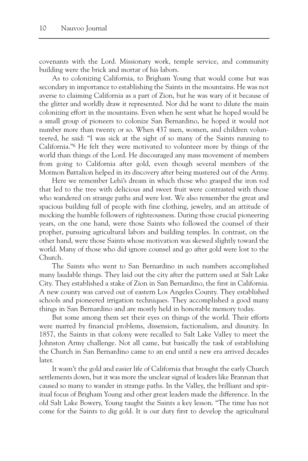covenants with the Lord. Missionary work, temple service, and community building were the brick and mortar of his labors.

As to colonizing California, to Brigham Young that would come but was secondary in importance to establishing the Saints in the mountains. He was not averse to claiming California as a part of Zion, but he was wary of it because of the glitter and worldly draw it represented. Nor did he want to dilute the main colonizing effort in the mountains. Even when he sent what he hoped would be a small group of pioneers to colonize San Bernardino, he hoped it would not number more than twenty or so. When 437 men, women, and children volunteered, he said: "I was sick at the sight of so many of the Saints running to California."6 He felt they were motivated to volunteer more by things of the world than things of the Lord. He discouraged any mass movement of members from going to California after gold, even though several members of the Mormon Battalion helped in its discovery after being mustered out of the Army.

Here we remember Lehi's dream in which those who grasped the iron rod that led to the tree with delicious and sweet fruit were contrasted with those who wandered on strange paths and were lost. We also remember the great and spacious building full of people with fine clothing, jewelry, and an attitude of mocking the humble followers of righteousness. During those crucial pioneering years, on the one hand, were those Saints who followed the counsel of their prophet, pursuing agricultural labors and building temples. In contrast, on the other hand, were those Saints whose motivation was skewed slightly toward the world. Many of those who did ignore counsel and go after gold were lost to the Church.

The Saints who went to San Bernardino in such numbers accomplished many laudable things. They laid out the city after the pattern used at Salt Lake City. They established a stake of Zion in San Bernardino, the first in California. A new county was carved out of eastern Los Angeles County. They established schools and pioneered irrigation techniques. They accomplished a good many things in San Bernardino and are mostly held in honorable memory today.

But some among them set their eyes on things of the world. Their efforts were marred by financial problems, dissension, factionalism, and disunity. In 1857, the Saints in that colony were recalled to Salt Lake Valley to meet the Johnston Army challenge. Not all came, but basically the task of establishing the Church in San Bernardino came to an end until a new era arrived decades later.

It wasn't the gold and easier life of California that brought the early Church settlements down, but it was more the unclear signal of leaders like Brannan that caused so many to wander in strange paths. In the Valley, the brilliant and spiritual focus of Brigham Young and other great leaders made the difference. In the old Salt Lake Bowery, Young taught the Saints a key lesson. "The time has not come for the Saints to dig gold. It is our duty first to develop the agricultural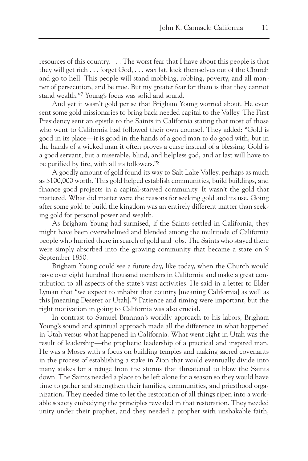resources of this country. . . . The worst fear that I have about this people is that they will get rich . . . forget God, . . . wax fat, kick themselves out of the Church and go to hell. This people will stand mobbing, robbing, poverty, and all manner of persecution, and be true. But my greater fear for them is that they cannot stand wealth."7 Young's focus was solid and sound.

And yet it wasn't gold per se that Brigham Young worried about. He even sent some gold missionaries to bring back needed capital to the Valley. The First Presidency sent an epistle to the Saints in California stating that most of those who went to California had followed their own counsel. They added: "Gold is good in its place—it is good in the hands of a good man to do good with, but in the hands of a wicked man it often proves a curse instead of a blessing. Gold is a good servant, but a miserable, blind, and helpless god, and at last will have to be purified by fire, with all its followers."8

A goodly amount of gold found its way to Salt Lake Valley, perhaps as much as \$100,000 worth. This gold helped establish communities, build buildings, and finance good projects in a capital-starved community. It wasn't the gold that mattered. What did matter were the reasons for seeking gold and its use. Going after some gold to build the kingdom was an entirely different matter than seeking gold for personal power and wealth.

As Brigham Young had surmised, if the Saints settled in California, they might have been overwhelmed and blended among the multitude of California people who hurried there in search of gold and jobs. The Saints who stayed there were simply absorbed into the growing community that became a state on 9 September 1850.

Brigham Young could see a future day, like today, when the Church would have over eight hundred thousand members in California and make a great contribution to all aspects of the state's vast activities. He said in a letter to Elder Lyman that "we expect to inhabit that country [meaning California] as well as this [meaning Deseret or Utah]."9 Patience and timing were important, but the right motivation in going to California was also crucial.

In contrast to Samuel Brannan's worldly approach to his labors, Brigham Young's sound and spiritual approach made all the difference in what happened in Utah versus what happened in California. What went right in Utah was the result of leadership—the prophetic leadership of a practical and inspired man. He was a Moses with a focus on building temples and making sacred covenants in the process of establishing a stake in Zion that would eventually divide into many stakes for a refuge from the storms that threatened to blow the Saints down. The Saints needed a place to be left alone for a season so they would have time to gather and strengthen their families, communities, and priesthood organization. They needed time to let the restoration of all things ripen into a workable society embodying the principles revealed in that restoration. They needed unity under their prophet, and they needed a prophet with unshakable faith,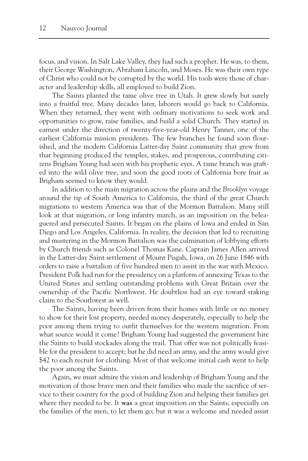focus, and vision. In Salt Lake Valley, they had such a prophet. He was, to them, their George Washington, Abraham Lincoln, and Moses. He was their own type of Christ who could not be corrupted by the world. His tools were those of character and leadership skills, all employed to build Zion.

The Saints planted the tame olive tree in Utah. It grew slowly but surely into a fruitful tree. Many decades later, laborers would go back to California. When they returned, they went with ordinary motivations to seek work and opportunities to grow, raise families, and build a solid Church. They started in earnest under the direction of twenty-five-year-old Henry Tanner, one of the earliest California mission presidents. The few branches he found soon flourished, and the modern California Latter-day Saint community that grew from that beginning produced the temples, stakes, and prosperous, contributing citizens Brigham Young had seen with his prophetic eyes. A tame branch was grafted into the wild olive tree, and soon the good roots of California bore fruit as Brigham seemed to know they would.

In addition to the main migration across the plains and the *Brooklyn* voyage around the tip of South America to California, the third of the great Church migrations to western America was that of the Mormon Battalion. Many still look at that migration, or long infantry march, as an imposition on the beleaguered and persecuted Saints. It began on the plains of Iowa and ended in San Diego and Los Angeles, California. In reality, the decision that led to recruiting and mustering in the Mormon Battalion was the culmination of lobbying efforts by Church friends such as Colonel Thomas Kane. Captain James Allen arrived in the Latter-day Saint settlement of Mount Pisgah, Iowa, on 26 June 1846 with orders to raise a battalion of five hundred men to assist in the war with Mexico. President Polk had run for the presidency on a platform of annexing Texas to the United States and settling outstanding problems with Great Britain over the ownership of the Pacific Northwest. He doubtless had an eye toward staking claim to the Southwest as well.

The Saints, having been driven from their homes with little or no money to show for their lost property, needed money desperately, especially to help the poor among them trying to outfit themselves for the western migration. From what source would it come? Brigham Young had suggested the government hire the Saints to build stockades along the trail. That offer was not politically feasible for the president to accept; but he did need an army, and the army would give \$42 to each recruit for clothing. Most of that welcome initial cash went to help the poor among the Saints.

Again, we must admire the vision and leadership of Brigham Young and the motivation of those brave men and their families who made the sacrifice of service to their country for the good of building Zion and helping their families get where they needed to be. It **was** a great imposition on the Saints, especially on the families of the men, to let them go; but it was a welcome and needed assist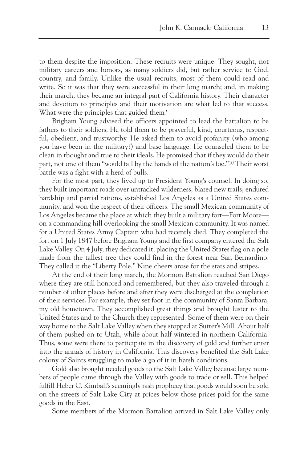to them despite the imposition. These recruits were unique. They sought, not military careers and honors, as many soldiers did, but rather service to God, country, and family. Unlike the usual recruits, most of them could read and write. So it was that they were successful in their long march; and, in making their march, they became an integral part of California history. Their character and devotion to principles and their motivation are what led to that success. What were the principles that guided them?

Brigham Young advised the officers appointed to lead the battalion to be fathers to their soldiers. He told them to be prayerful, kind, courteous, respectful, obedient, and trustworthy. He asked them to avoid profanity (who among you have been in the military?) and base language. He counseled them to be clean in thought and true to their ideals. He promised that if they would do their part, not one of them "would fall by the hands of the nation's foe."10 Their worst battle was a fight with a herd of bulls.

For the most part, they lived up to President Young's counsel. In doing so, they built important roads over untracked wilderness, blazed new trails, endured hardship and partial rations, established Los Angeles as a United States community, and won the respect of their officers. The small Mexican community of Los Angeles became the place at which they built a military fort—Fort Moore on a commanding hill overlooking the small Mexican community. It was named for a United States Army Captain who had recently died. They completed the fort on 1 July 1847 before Brigham Young and the first company entered the Salt Lake Valley. On 4 July, they dedicated it, placing the United States flag on a pole made from the tallest tree they could find in the forest near San Bernardino. They called it the "Liberty Pole." Nine cheers arose for the stars and stripes.

At the end of their long march, the Mormon Battalion reached San Diego where they are still honored and remembered, but they also traveled through a number of other places before and after they were discharged at the completion of their services. For example, they set foot in the community of Santa Barbara, my old hometown. They accomplished great things and brought luster to the United States and to the Church they represented. Some of them were on their way home to the Salt Lake Valley when they stopped at Sutter's Mill. About half of them pushed on to Utah, while about half wintered in northern California. Thus, some were there to participate in the discovery of gold and further enter into the annals of history in California. This discovery benefited the Salt Lake colony of Saints struggling to make a go of it in harsh conditions.

Gold also brought needed goods to the Salt Lake Valley because large numbers of people came through the Valley with goods to trade or sell. This helped fulfill Heber C. Kimball's seemingly rash prophecy that goods would soon be sold on the streets of Salt Lake City at prices below those prices paid for the same goods in the East.

Some members of the Mormon Battalion arrived in Salt Lake Valley only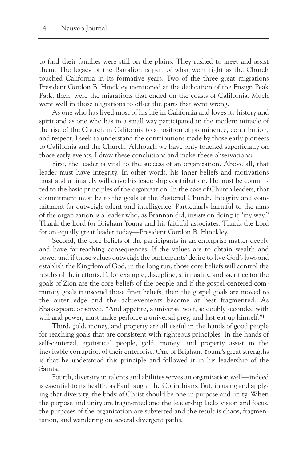to find their families were still on the plains. They rushed to meet and assist them. The legacy of the Battalion is part of what went right as the Church touched California in its formative years. Two of the three great migrations President Gordon B. Hinckley mentioned at the dedication of the Ensign Peak Park, then, were the migrations that ended on the coasts of California. Much went well in those migrations to offset the parts that went wrong.

As one who has lived most of his life in California and loves its history and spirit and as one who has in a small way participated in the modern miracle of the rise of the Church in California to a position of prominence, contribution, and respect, I seek to understand the contributions made by those early pioneers to California and the Church. Although we have only touched superficially on those early events, I draw these conclusions and make these observations:

First, the leader is vital to the success of an organization. Above all, that leader must have integrity. In other words, his inner beliefs and motivations must and ultimately will drive his leadership contribution. He must be committed to the basic principles of the organization. In the case of Church leaders, that commitment must be to the goals of the Restored Church. Integrity and commitment far outweigh talent and intelligence. Particularly harmful to the aims of the organization is a leader who, as Brannan did, insists on doing it "my way." Thank the Lord for Brigham Young and his faithful associates. Thank the Lord for an equally great leader today—President Gordon B. Hinckley.

Second, the core beliefs of the participants in an enterprise matter deeply and have far-reaching consequences. If the values are to obtain wealth and power and if those values outweigh the participants' desire to live God's laws and establish the Kingdom of God, in the long run, those core beliefs will control the results of their efforts. If, for example, discipline, spirituality, and sacrifice for the goals of Zion are the core beliefs of the people and if the gospel-centered community goals transcend those finer beliefs, then the gospel goals are moved to the outer edge and the achievements become at best fragmented. As Shakespeare observed, "And appetite, a universal wolf, so doubly seconded with will and power, must make perforce a universal prey, and last eat up himself."<sup>11</sup>

Third, gold, money, and property are all useful in the hands of good people for reaching goals that are consistent with righteous principles. In the hands of self-centered, egotistical people, gold, money, and property assist in the inevitable corruption of their enterprise. One of Brigham Young's great strengths is that he understood this principle and followed it in his leadership of the Saints.

Fourth, diversity in talents and abilities serves an organization well—indeed is essential to its health, as Paul taught the Corinthians. But, in using and applying that diversity, the body of Christ should be one in purpose and unity. When the purpose and unity are fragmented and the leadership lacks vision and focus, the purposes of the organization are subverted and the result is chaos, fragmentation, and wandering on several divergent paths.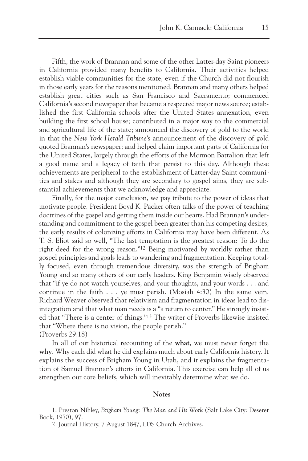Fifth, the work of Brannan and some of the other Latter-day Saint pioneers in California provided many benefits to California. Their activities helped establish viable communities for the state, even if the Church did not flourish in those early years for the reasons mentioned. Brannan and many others helped establish great cities such as San Francisco and Sacramento; commenced California's second newspaper that became a respected major news source; established the first California schools after the United States annexation, even building the first school house; contributed in a major way to the commercial and agricultural life of the state; announced the discovery of gold to the world in that the *New York Herald Tribune*'s announcement of the discovery of gold quoted Brannan's newspaper; and helped claim important parts of California for the United States, largely through the efforts of the Mormon Battalion that left a good name and a legacy of faith that persist to this day. Although these achievements are peripheral to the establishment of Latter-day Saint communities and stakes and although they are secondary to gospel aims, they are substantial achievements that we acknowledge and appreciate.

Finally, for the major conclusion, we pay tribute to the power of ideas that motivate people. President Boyd K. Packer often talks of the power of teaching doctrines of the gospel and getting them inside our hearts. Had Brannan's understanding and commitment to the gospel been greater than his competing desires, the early results of colonizing efforts in California may have been different. As T. S. Eliot said so well, "The last temptation is the greatest reason: To do the right deed for the wrong reason."12 Being motivated by worldly rather than gospel principles and goals leads to wandering and fragmentation. Keeping totally focused, even through tremendous diversity, was the strength of Brigham Young and so many others of our early leaders. King Benjamin wisely observed that "if ye do not watch yourselves, and your thoughts, and your words . . . and continue in the faith . . . ye must perish. (Mosiah 4:30) In the same vein, Richard Weaver observed that relativism and fragmentation in ideas lead to disintegration and that what man needs is a "a return to center." He strongly insisted that "There is a center of things."13 The writer of Proverbs likewise insisted that "Where there is no vision, the people perish." (Proverbs 29:18)

In all of our historical recounting of the **what**, we must never forget the **why**. Why each did what he did explains much about early California history. It explains the success of Brigham Young in Utah, and it explains the fragmentation of Samuel Brannan's efforts in California. This exercise can help all of us strengthen our core beliefs, which will inevitably determine what we do.

## **Notes**

1. Preston Nibley, *Brigham Young: The Man and His Work* (Salt Lake City: Deseret Book, 1970), 97.

2. Journal History, 7 August 1847, LDS Church Archives.